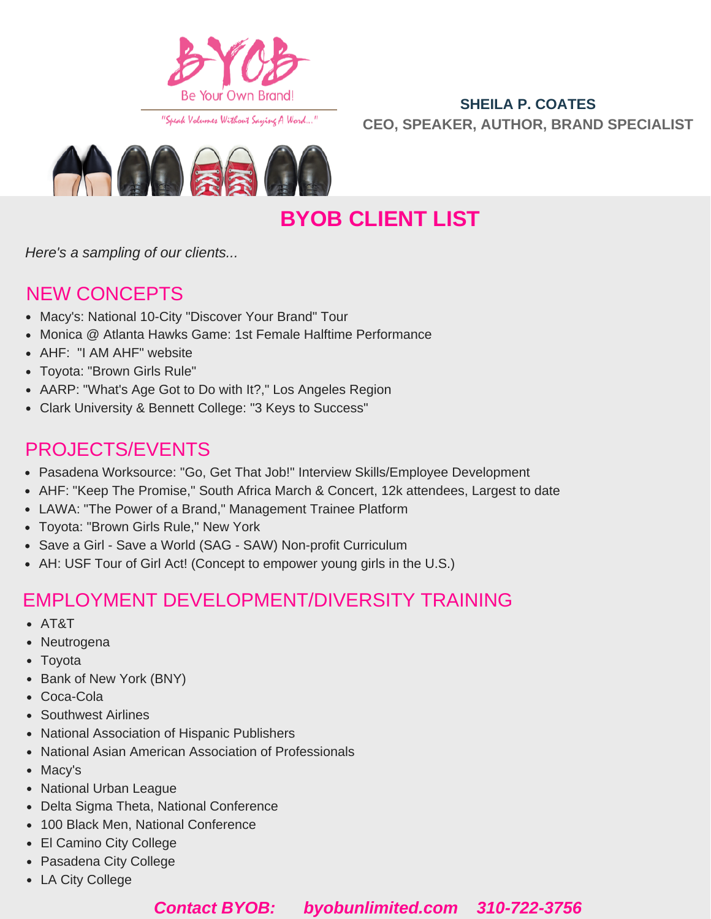

"Speak Volumes Without Saying A Word..."

### **SHEILA P. COATES CEO, SPEAKER, AUTHOR, BRAND SPECIALIST**



**BYOB CLIENT LIST**

*Here's a sampling of our clients...*

### NEW CONCEPTS

- Macy's: National 10-City "Discover Your Brand" Tour
- Monica @ Atlanta Hawks Game: 1st Female Halftime Performance
- AHF: "I AM AHF" website
- Toyota: "Brown Girls Rule"
- AARP: "What's Age Got to Do with It?," Los Angeles Region
- Clark University & Bennett College: "3 Keys to Success"

## PROJECTS/EVENTS

- Pasadena Worksource: "Go, Get That Job!" Interview Skills/Employee Development
- AHF: "Keep The Promise," South Africa March & Concert, 12k attendees, Largest to date
- LAWA: "The Power of a Brand," Management Trainee Platform
- Toyota: "Brown Girls Rule," New York
- Save a Girl Save a World (SAG SAW) Non-profit Curriculum
- AH: USF Tour of Girl Act! (Concept to empower young girls in the U.S.)

## EMPLOYMENT DEVELOPMENT/DIVERSITY TRAINING

- AT&T
- Neutrogena
- Toyota
- Bank of New York (BNY)
- Coca-Cola
- Southwest Airlines
- National Association of Hispanic Publishers
- National Asian American Association of Professionals
- Macy's
- National Urban League
- Delta Sigma Theta, National Conference
- 100 Black Men, National Conference
- El Camino City College
- Pasadena City College
- LA City College

### *Contact BYOB: byobunlimited.com 310-722-3756*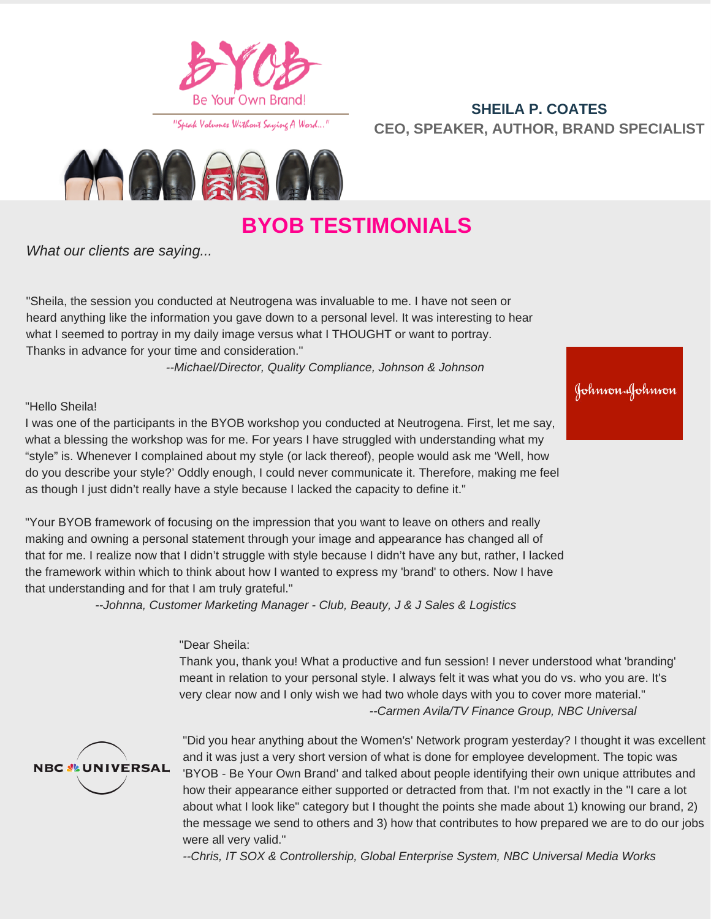

"Speak Valumes Without Saying A Ward..."

### **SHEILA P. COATES CEO, SPEAKER, AUTHOR, BRAND SPECIALIST**



# **BYOB TESTIMONIALS**

*What our clients are saying...*

"Sheila, the session you conducted at Neutrogena was invaluable to me. I have not seen or heard anything like the information you gave down to a personal level. It was interesting to hear what I seemed to portray in my daily image versus what I THOUGHT or want to portray. Thanks in advance for your time and consideration."

*--Michael/Director, Quality Compliance, Johnson & Johnson*

#### "Hello Sheila!

I was one of the participants in the BYOB workshop you conducted at Neutrogena. First, let me say, what a blessing the workshop was for me. For years I have struggled with understanding what my "style" is. Whenever I complained about my style (or lack thereof), people would ask me 'Well, how do you describe your style?' Oddly enough, I could never communicate it. Therefore, making me feel as though I just didn't really have a style because I lacked the capacity to define it."

"Your BYOB framework of focusing on the impression that you want to leave on others and really making and owning a personal statement through your image and appearance has changed all of that for me. I realize now that I didn't struggle with style because I didn't have any but, rather, I lacked the framework within which to think about how I wanted to express my 'brand' to others. Now I have that understanding and for that I am truly grateful."

*--Johnna, Customer Marketing Manager - Club, Beauty, J & J Sales & Logistics*

#### "Dear Sheila:

Thank you, thank you! What a productive and fun session! I never understood what 'branding' meant in relation to your personal style. I always felt it was what you do vs. who you are. It's very clear now and I only wish we had two whole days with you to cover more material." *--Carmen Avila/TV Finance Group, NBC Universal*



"Did you hear anything about the Women's' Network program yesterday? I thought it was excellent and it was just a very short version of what is done for employee development. The topic was 'BYOB - Be Your Own Brand' and talked about people identifying their own unique attributes and how their appearance either supported or detracted from that. I'm not exactly in the "I care a lot about what I look like" category but I thought the points she made about 1) knowing our brand, 2) the message we send to others and 3) how that contributes to how prepared we are to do our jobs were all very valid."

*--Chris, IT SOX & Controllership, Global Enterprise System, NBC Universal Media Works*

Johnson Johnson